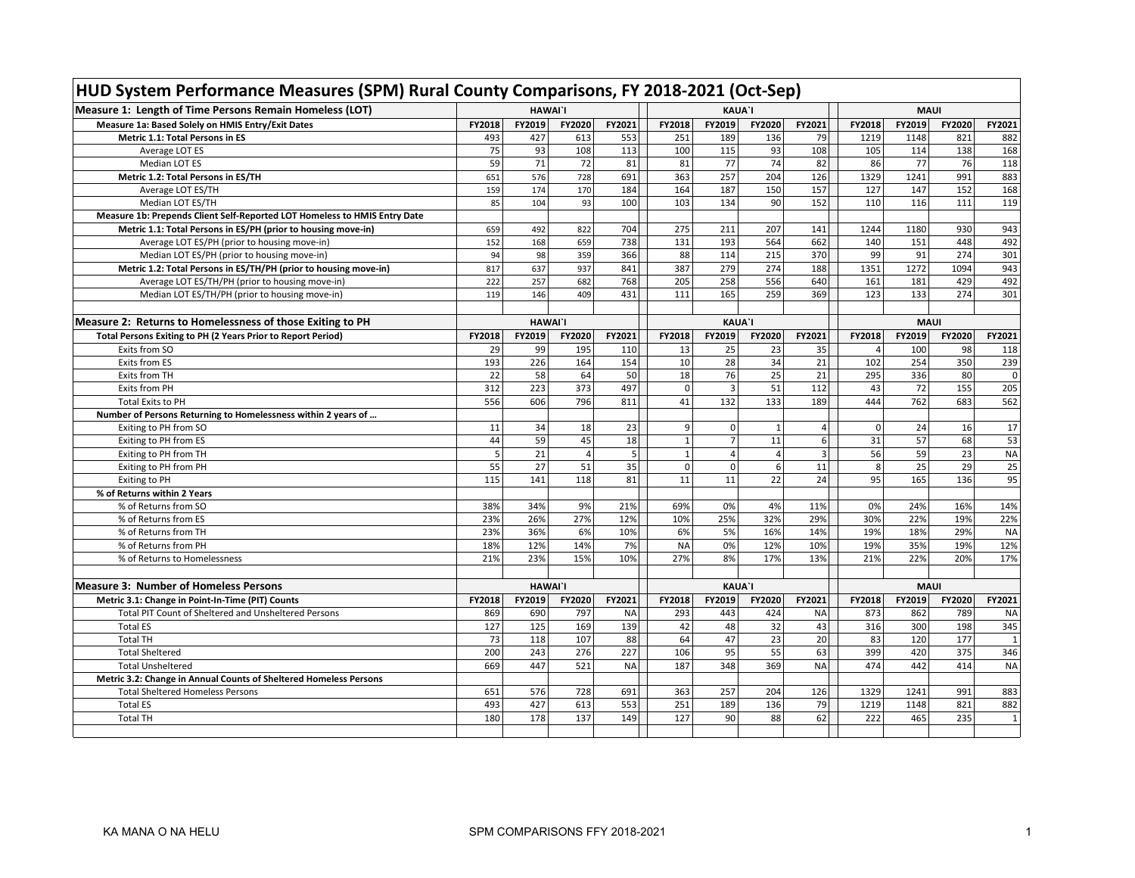| HUD System Performance Measures (SPM) Rural County Comparisons, FY 2018-2021 (Oct-Sep) |                |                |                |              |               |                |                |                |                |        |        |                |
|----------------------------------------------------------------------------------------|----------------|----------------|----------------|--------------|---------------|----------------|----------------|----------------|----------------|--------|--------|----------------|
| Measure 1: Length of Time Persons Remain Homeless (LOT)                                | <b>HAWAI'I</b> |                |                |              |               | <b>KAUA'I</b>  |                | <b>MAUI</b>    |                |        |        |                |
| Measure 1a: Based Solely on HMIS Entry/Exit Dates                                      | FY2018         | FY2019         | FY2020         | FY2021       | FY2018        | FY2019         | FY2020         | FY2021         | FY2018         | FY2019 | FY2020 | FY2021         |
| Metric 1.1: Total Persons in ES                                                        | 493            | 427            | 613            | 553          | 251           | 189            | 136            | 79             | 1219           | 1148   | 821    | 882            |
| Average LOT ES                                                                         | 75             | 93             | 108            | 113          | 100           | 115            | 93             | 108            | 105            | 114    | 138    | 168            |
| Median LOT ES                                                                          | 59             | 71             | 72             | 81           | 81            | 77             | 74             | 82             | 86             | 77     | 76     | 118            |
| Metric 1.2: Total Persons in ES/TH                                                     | 651            | 576            | 728            | 691          | 363           | 257            | 204            | 126            | 1329           | 1241   | 991    | 883            |
| Average LOT ES/TH                                                                      | 159            | 174            | 170            | 184          | 164           | 187            | 150            | 157            | 127            | 147    | 152    | 168            |
| Median LOT ES/TH                                                                       | 85             | 104            | 93             | 100          | 103           | 134            | 90             | 152            | 110            | 116    | 111    | 119            |
| Measure 1b: Prepends Client Self-Reported LOT Homeless to HMIS Entry Date              |                |                |                |              |               |                |                |                |                |        |        |                |
| Metric 1.1: Total Persons in ES/PH (prior to housing move-in)                          | 659            | 492            | 822            | 704          | 275           | 211            | 207            | 141            | 1244           | 1180   | 930    | 943            |
| Average LOT ES/PH (prior to housing move-in)                                           | 152            | 168            | 659            | 738          | 131           | 193            | 564            | 662            | 140            | 151    | 448    | 492            |
| Median LOT ES/PH (prior to housing move-in)                                            | 94             | 98             | 359            | 366          | 88            | 114            | 215            | 370            | 99             | 91     | 274    | 301            |
| Metric 1.2: Total Persons in ES/TH/PH (prior to housing move-in)                       | 817            | 637            | 937            | 841          | 387           | 279            | 274            | 188            | 1351           | 1272   | 1094   | 943            |
| Average LOT ES/TH/PH (prior to housing move-in)                                        | 222            | 257            | 682            | 768          | 205           | 258            | 556            | 640            | 161            | 181    | 429    | 492            |
| Median LOT ES/TH/PH (prior to housing move-in)                                         | 119            | 146            | 409            | 431          | 111           | 165            | 259            | 369            | 123            | 133    | 274    | 301            |
|                                                                                        |                |                |                |              |               |                |                |                |                |        |        |                |
| Measure 2: Returns to Homelessness of those Exiting to PH                              |                | <b>HAWAI'I</b> |                |              | <b>KAUA'I</b> |                |                |                | <b>MAUI</b>    |        |        |                |
| Total Persons Exiting to PH (2 Years Prior to Report Period)                           | FY2018         | FY2019         | FY2020         | FY2021       | FY2018        | FY2019         | FY2020         | FY2021         | FY2018         | FY2019 | FY2020 | FY2021         |
| Exits from SO                                                                          | 29             | 99             | 195            | 110          | 13            | 25             | 23             | 35             | $\overline{4}$ | 100    | 98     | 118            |
| Exits from ES                                                                          | 193            | 226            | 164            | 154          | 10            | 28             | 34             | 21             | 102            | 254    | 350    | 239            |
| Exits from TH                                                                          | 22             | 58             | 64             | 50           | 18            | 76             | 25             | 21             | 295            | 336    | 80     | $\mathbf 0$    |
| Exits from PH                                                                          | 312            | 223            | 373            | 497          | $\mathbf 0$   | $\overline{3}$ | 51             | 112            | 43             | 72     | 155    | 205            |
| <b>Total Exits to PH</b>                                                               | 556            | 606            | 796            | 811          | 41            | 132            | 133            | 189            | 444            | 762    | 683    | 562            |
| Number of Persons Returning to Homelessness within 2 years of                          |                |                |                |              |               |                |                |                |                |        |        |                |
| Exiting to PH from SO                                                                  | 11             | 34             | 18             | 23           | 9             | $\mathbf 0$    | $\mathbf{1}$   | $\overline{4}$ | $\mathbf 0$    | 24     | 16     | 17             |
| Exiting to PH from ES                                                                  | 44             | 59             | 45             | 18           | $\mathbf 1$   | $\overline{7}$ | 11             | 6              | 31             | 57     | 68     | 53             |
| Exiting to PH from TH                                                                  | 5              | 21             | $\overline{4}$ | $\mathsf{S}$ | $\mathbf 1$   | $\overline{a}$ | $\overline{4}$ | 3 <sup>1</sup> | 56             | 59     | 23     | <b>NA</b>      |
| Exiting to PH from PH                                                                  | 55             | 27             | 51             | 35           | $\mathbf 0$   | $\Omega$       | 6              | 11             | 8              | 25     | 29     | 25             |
| <b>Exiting to PH</b>                                                                   | 115            | 141            | 118            | 81           | 11            | 11             | 22             | 24             | 95             | 165    | 136    | 95             |
| % of Returns within 2 Years                                                            |                |                |                |              |               |                |                |                |                |        |        |                |
| % of Returns from SO                                                                   | 38%            | 34%            | 9%             | 21%          | 69%           | 0%             | 4%             | 11%            | 0%             | 24%    | 16%    | 14%            |
| % of Returns from ES                                                                   | 23%            | 26%            | 27%            | 12%          | 10%           | 25%            | 32%            | 29%            | 30%            | 22%    | 19%    | 22%            |
| % of Returns from TH                                                                   | 23%            | 36%            | 6%             | 10%          | 6%            | 5%             | 16%            | 14%            | 19%            | 18%    | 29%    | <b>NA</b>      |
| % of Returns from PH                                                                   | 18%            | 12%            | 14%            | 7%           | <b>NA</b>     | 0%             | 12%            | 10%            | 19%            | 35%    | 19%    | 12%            |
| % of Returns to Homelessness                                                           | 21%            | 23%            | 15%            | 10%          | 27%           | 8%             | 17%            | 13%            | 21%            | 22%    | 20%    | 17%            |
| <b>Measure 3: Number of Homeless Persons</b>                                           |                | <b>HAWAI'I</b> |                |              |               | <b>KAUA'I</b>  |                |                | <b>MAUI</b>    |        |        |                |
| Metric 3.1: Change in Point-In-Time (PIT) Counts                                       | FY2018         | FY2019         | FY2020         | FY2021       | FY2018        | FY2019         | FY2020         | FY2021         | FY2018         | FY2019 | FY2020 | FY2021         |
| Total PIT Count of Sheltered and Unsheltered Persons                                   | 869            | 690            | 797            | <b>NA</b>    | 293           | 443            | 424            | <b>NA</b>      | 873            | 862    | 789    | NA             |
| <b>Total ES</b>                                                                        | 127            | 125            | 169            | 139          | 42            | 48             | 32             | 43             | 316            | 300    | 198    | 345            |
| <b>Total TH</b>                                                                        | 73             | 118            | 107            | 88           | 64            | 47             | 23             | 20             | 83             | 120    | 177    |                |
| <b>Total Sheltered</b>                                                                 | 200            | 243            | 276            | 227          | 106           | 95             | 55             | 63             | 399            | 420    | 375    | 346            |
| <b>Total Unsheltered</b>                                                               | 669            | 447            | 521            | <b>NA</b>    | 187           | 348            | 369            | <b>NA</b>      | 474            | 442    | 414    | <b>NA</b>      |
| Metric 3.2: Change in Annual Counts of Sheltered Homeless Persons                      |                |                |                |              |               |                |                |                |                |        |        |                |
| <b>Total Sheltered Homeless Persons</b>                                                | 651            | 576            | 728            | 691          | 363           | 257            | 204            | 126            | 1329           | 1241   | 991    | 883            |
| <b>Total ES</b>                                                                        | 493            | 427            | 613            | 553          | 251           | 189            | 136            | 79             | 1219           | 1148   | 821    | 882            |
| <b>Total TH</b>                                                                        | 180            | 178            | 137            | 149          | 127           | 90             | 88             | 62             | 222            | 465    | 235    | $\overline{1}$ |
|                                                                                        |                |                |                |              |               |                |                |                |                |        |        |                |

## г **HUD System Performance Measures (SPM) Rural County Comparisons, FY 2018-2021 (Oct-Sep)**

 $\overline{\phantom{a}}$